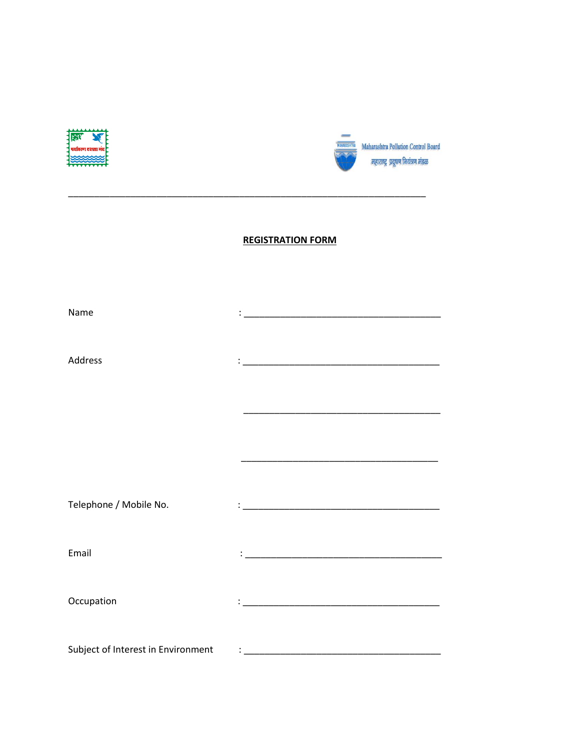



# **REGISTRATION FORM**

| Name                               |  |
|------------------------------------|--|
|                                    |  |
|                                    |  |
| Address                            |  |
|                                    |  |
|                                    |  |
|                                    |  |
|                                    |  |
|                                    |  |
|                                    |  |
|                                    |  |
| Telephone / Mobile No.             |  |
|                                    |  |
|                                    |  |
| Email                              |  |
|                                    |  |
|                                    |  |
| Occupation                         |  |
|                                    |  |
| Subject of Interest in Environment |  |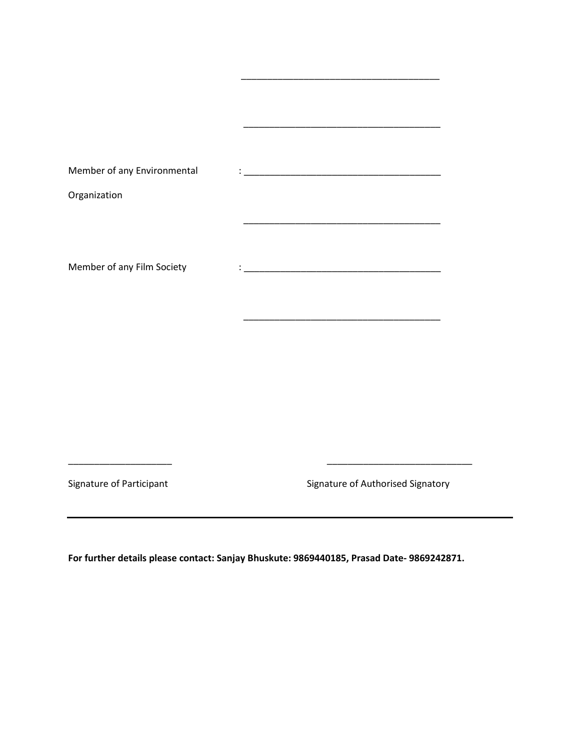| Member of any Environmental |  |
|-----------------------------|--|
| Organization                |  |
|                             |  |
|                             |  |
| Member of any Film Society  |  |
|                             |  |
|                             |  |

\_\_\_\_\_\_\_\_\_\_\_\_\_\_\_\_\_\_\_\_\_\_\_\_\_\_\_\_\_\_\_\_\_\_\_\_\_\_

Signature of Participant Signature of Authorised Signatory

**For further details please contact: Sanjay Bhuskute: 9869440185, Prasad Date- 9869242871.**

\_\_\_\_\_\_\_\_\_\_\_\_\_\_\_\_\_\_\_\_ \_\_\_\_\_\_\_\_\_\_\_\_\_\_\_\_\_\_\_\_\_\_\_\_\_\_\_\_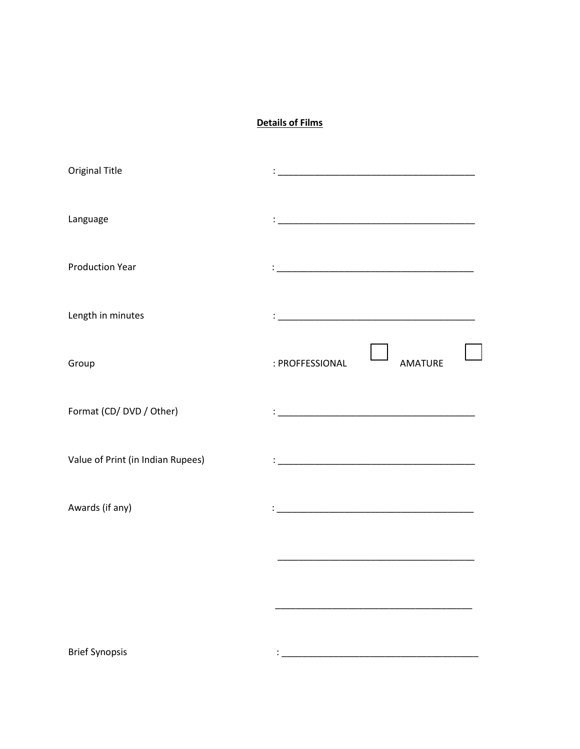### **Details of Films**

| Original Title                    |                                   |
|-----------------------------------|-----------------------------------|
| Language                          |                                   |
| <b>Production Year</b>            |                                   |
| Length in minutes                 |                                   |
| Group                             | : PROFFESSIONAL<br><b>AMATURE</b> |
| Format (CD/ DVD / Other)          |                                   |
| Value of Print (in Indian Rupees) |                                   |
| Awards (if any)                   |                                   |
|                                   |                                   |
|                                   |                                   |
| <b>Brief Synopsis</b>             |                                   |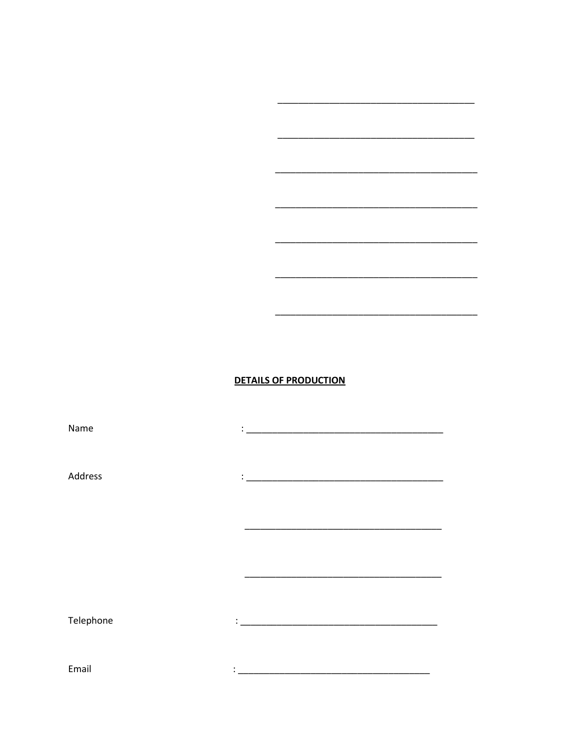#### **DETAILS OF PRODUCTION**

Name Address Telephone Email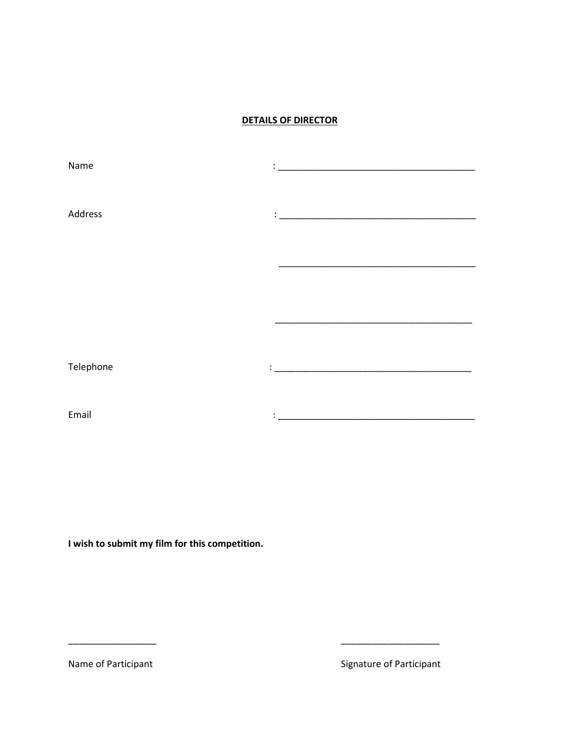### **DETAILS OF DIRECTOR**

| Name      | <u> 1980 - Jan James, Amerikaansk politiker (d. 1980)</u> |
|-----------|-----------------------------------------------------------|
|           |                                                           |
|           |                                                           |
|           |                                                           |
| Address   | ÷                                                         |
|           |                                                           |
|           |                                                           |
|           |                                                           |
|           |                                                           |
|           |                                                           |
|           |                                                           |
|           |                                                           |
|           |                                                           |
|           |                                                           |
|           |                                                           |
|           |                                                           |
| Telephone |                                                           |
|           |                                                           |
|           |                                                           |
|           |                                                           |
| Email     |                                                           |
|           |                                                           |

\_\_\_\_\_\_\_\_\_\_\_\_\_\_\_\_\_ \_\_\_\_\_\_\_\_\_\_\_\_\_\_\_\_\_\_\_

**I wish to submit my film for this competition.**

Name of Participant **Name of Participant** Signature of Participant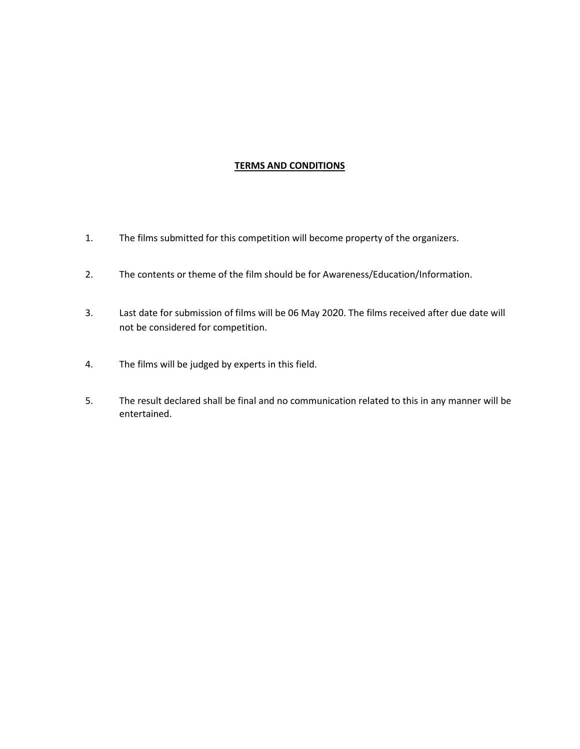#### **TERMS AND CONDITIONS**

- 1. The films submitted for this competition will become property of the organizers.
- 2. The contents or theme of the film should be for Awareness/Education/Information.
- 3. Last date for submission of films will be 06 May 2020. The films received after due date will not be considered for competition.
- 4. The films will be judged by experts in this field.
- 5. The result declared shall be final and no communication related to this in any manner will be entertained.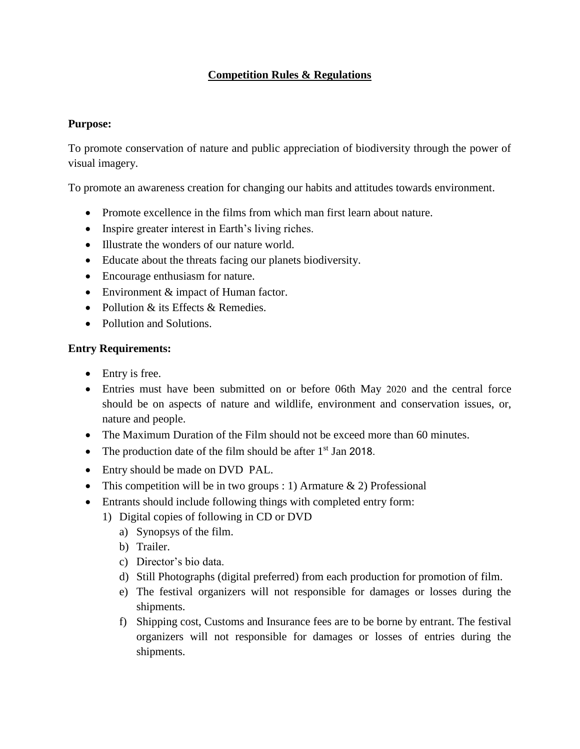# **Competition Rules & Regulations**

### **Purpose:**

To promote conservation of nature and public appreciation of biodiversity through the power of visual imagery.

To promote an awareness creation for changing our habits and attitudes towards environment.

- Promote excellence in the films from which man first learn about nature.
- Inspire greater interest in Earth's living riches.
- Illustrate the wonders of our nature world.
- Educate about the threats facing our planets biodiversity.
- Encourage enthusiasm for nature.
- Environment & impact of Human factor.
- Pollution & its Effects & Remedies.
- Pollution and Solutions.

### **Entry Requirements:**

- Entry is free.
- Entries must have been submitted on or before 06th May 2020 and the central force should be on aspects of nature and wildlife, environment and conservation issues, or, nature and people.
- The Maximum Duration of the Film should not be exceed more than 60 minutes.
- The production date of the film should be after  $1<sup>st</sup>$  Jan 2018.
- Entry should be made on DVD PAL.
- This competition will be in two groups : 1) Armature  $\&$  2) Professional
- Entrants should include following things with completed entry form:
	- 1) Digital copies of following in CD or DVD
		- a) Synopsys of the film.
		- b) Trailer.
		- c) Director's bio data.
		- d) Still Photographs (digital preferred) from each production for promotion of film.
		- e) The festival organizers will not responsible for damages or losses during the shipments.
		- f) Shipping cost, Customs and Insurance fees are to be borne by entrant. The festival organizers will not responsible for damages or losses of entries during the shipments.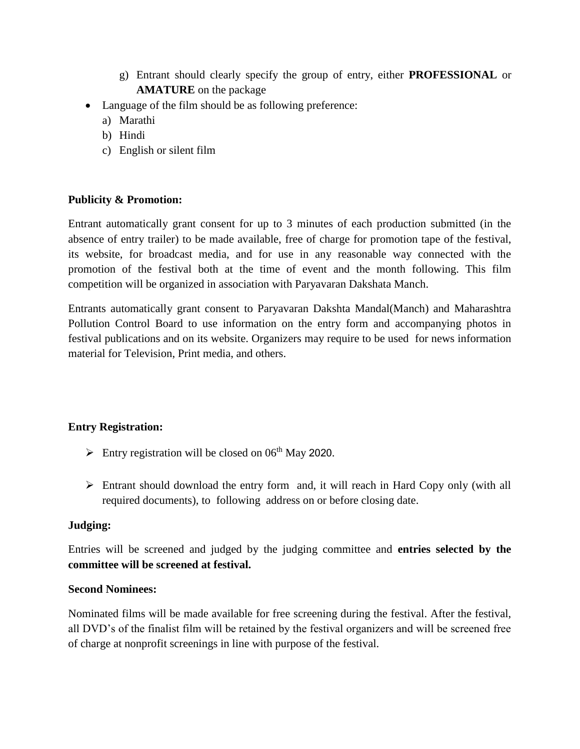- g) Entrant should clearly specify the group of entry, either **PROFESSIONAL** or **AMATURE** on the package
- Language of the film should be as following preference:
	- a) Marathi
	- b) Hindi
	- c) English or silent film

# **Publicity & Promotion:**

Entrant automatically grant consent for up to 3 minutes of each production submitted (in the absence of entry trailer) to be made available, free of charge for promotion tape of the festival, its website, for broadcast media, and for use in any reasonable way connected with the promotion of the festival both at the time of event and the month following. This film competition will be organized in association with Paryavaran Dakshata Manch.

Entrants automatically grant consent to Paryavaran Dakshta Mandal(Manch) and Maharashtra Pollution Control Board to use information on the entry form and accompanying photos in festival publications and on its website. Organizers may require to be used for news information material for Television, Print media, and others.

## **Entry Registration:**

- $\triangleright$  Entry registration will be closed on 06<sup>th</sup> May 2020.
- $\triangleright$  Entrant should download the entry form and, it will reach in Hard Copy only (with all required documents), to following address on or before closing date.

## **Judging:**

Entries will be screened and judged by the judging committee and **entries selected by the committee will be screened at festival.**

## **Second Nominees:**

Nominated films will be made available for free screening during the festival. After the festival, all DVD's of the finalist film will be retained by the festival organizers and will be screened free of charge at nonprofit screenings in line with purpose of the festival.